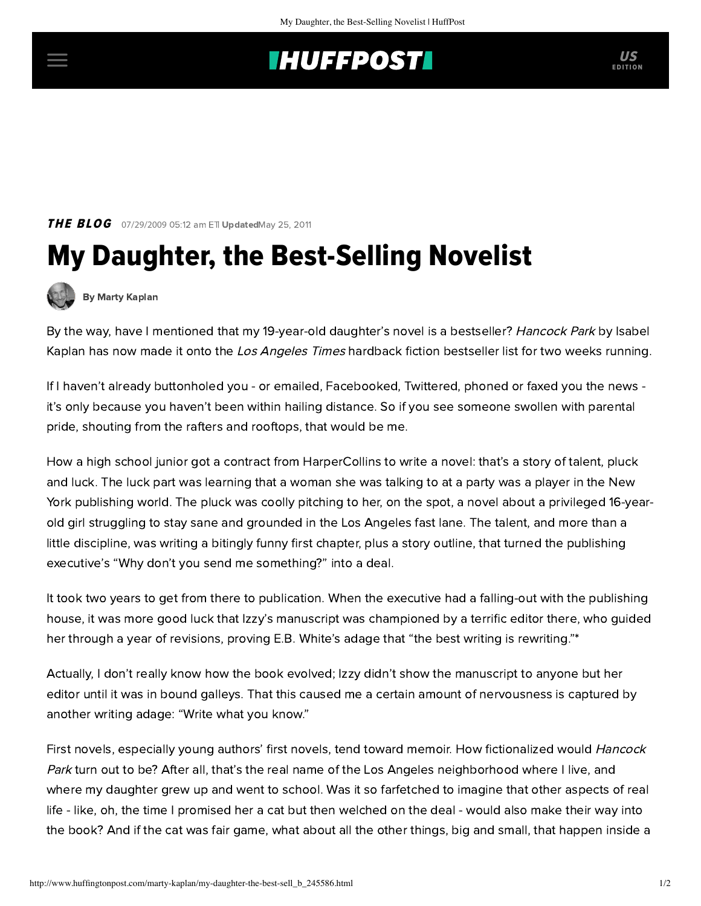## **INUFFPOSTI** US

**THE BLOG** 07/29/2009 05:12 am ETI UpdatedMay 25, 2011

## My Daughter, the Best-Selling Novelist



[By Marty Kaplan](http://www.huffingtonpost.com/author/marty-kaplan)

By the way, have I mentioned that my 19-year-old daughter's novel is a bestseller? [Hancock Park](http://www.amazon.com/Hancock-Park-Novel-Isabel-Kaplan/dp/0061246522/ref=cm_cr_pr_product_top) by Isabel Kaplan has now made it onto the Los Angeles Times hardback fiction bestseller list for two weeks running.

If I haven't already buttonholed you - or emailed, Facebooked, Twittered, phoned or faxed you the news it's only because you haven't been within hailing distance. So if you see someone swollen with parental pride, shouting from the rafters and rooftops, that would be me.

How a high school junior got a contract from HarperCollins to write a novel: that's a story of talent, pluck and luck. The luck part was learning that a woman she was talking to at a party was a player in the New York publishing world. The pluck was coolly pitching to her, on the spot, a novel about a privileged 16-yearold girl [struggling to stay sane and grounded in the Los Angeles fast lane.](http://www.thedailybeast.com/blogs-and-stories/2009-07-01/the-west-coast-gossip-girl/) The talent, and more than a little discipline, was writing a bitingly funny first chapter, plus a story outline, that turned the publishing executive's "Why don't you send me something?" into a deal.

It took two years to get from there to publication. When the executive had a falling-out with the publishing house, it was more good luck that Izzy's manuscript was championed by a terrific editor there, who guided her through a year of revisions, proving E.B. White's adage that "the best writing is rewriting."\*

Actually, I don't really know how the book evolved; Izzy didn't show the manuscript to anyone but her editor until it was in bound galleys. That this caused me a certain amount of nervousness is captured by another writing adage: "Write what you know."

First novels, especially young authors' first novels, tend toward memoir. How fictionalized would Hancock Park turn out to be? After all, that's the real name of the Los Angeles neighborhood where I live, and where my daughter grew up and went to school. Was it so farfetched to imagine that other aspects of real life - like, oh, the time I promised her a cat but then welched on the deal - would also make their way into the book? And if the cat was fair game, what about all the other things, big and small, that happen inside a